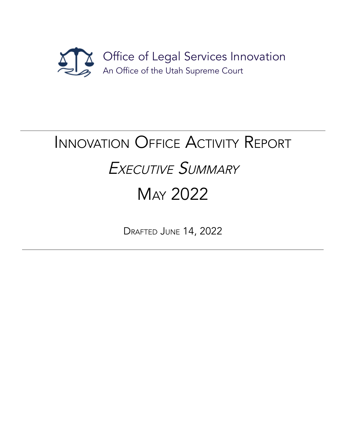

# INNOVATION OFFICE ACTIVITY REPORT EXECUTIVE SUMMARY MAY 2022

DRAFTED JUNE 14, 2022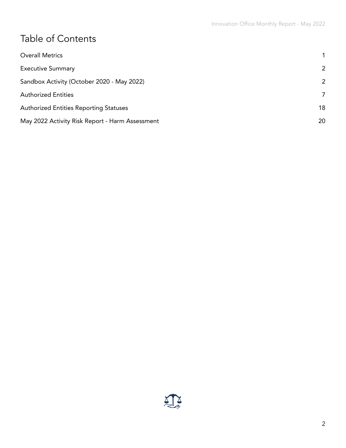# Table of Contents

| <b>Overall Metrics</b>                          |    |
|-------------------------------------------------|----|
| <b>Executive Summary</b>                        | 2  |
| Sandbox Activity (October 2020 - May 2022)      | 2  |
| <b>Authorized Entities</b>                      | 7  |
| <b>Authorized Entities Reporting Statuses</b>   | 18 |
| May 2022 Activity Risk Report - Harm Assessment | 20 |

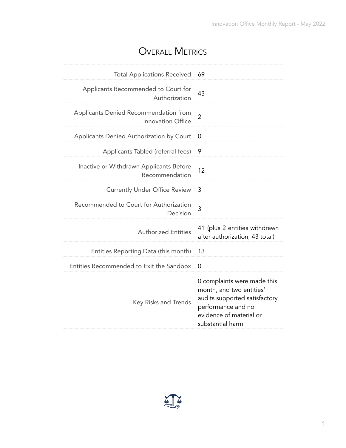### OVERALL METRICS

<span id="page-2-0"></span>

| <b>Total Applications Received</b>                         | 69                                                                                                                                                            |
|------------------------------------------------------------|---------------------------------------------------------------------------------------------------------------------------------------------------------------|
| Applicants Recommended to Court for<br>Authorization       | 43                                                                                                                                                            |
| Applicants Denied Recommendation from<br>Innovation Office | $\overline{2}$                                                                                                                                                |
| Applicants Denied Authorization by Court                   | O                                                                                                                                                             |
| Applicants Tabled (referral fees)                          | 9                                                                                                                                                             |
| Inactive or Withdrawn Applicants Before<br>Recommendation  | 12                                                                                                                                                            |
| <b>Currently Under Office Review</b>                       | 3                                                                                                                                                             |
| Recommended to Court for Authorization<br>Decision         | 3                                                                                                                                                             |
| <b>Authorized Entities</b>                                 | 41 (plus 2 entities withdrawn<br>after authorization; 43 total)                                                                                               |
| Entities Reporting Data (this month)                       | 13                                                                                                                                                            |
| Entities Recommended to Exit the Sandbox                   | 0                                                                                                                                                             |
| Key Risks and Trends                                       | 0 complaints were made this<br>month, and two entities'<br>audits supported satisfactory<br>performance and no<br>evidence of material or<br>substantial harm |

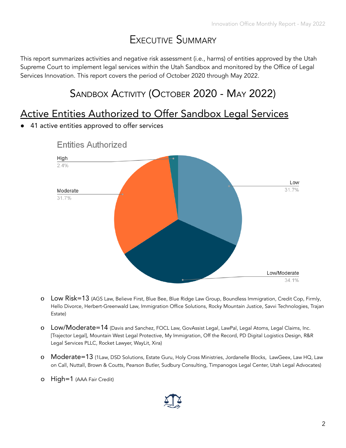# EXECUTIVE SUMMARY

<span id="page-3-1"></span><span id="page-3-0"></span>This report summarizes activities and negative risk assessment (i.e., harms) of entities approved by the Utah Supreme Court to implement legal services within the Utah Sandbox and monitored by the Office of Legal Services Innovation. This report covers the period of October 2020 through May 2022.

# SANDBOX ACTIVITY (OCTOBER 2020 - MAY 2022)

#### Active Entities Authorized to Offer Sandbox Legal Services

**●** 41 active entities approved to offer services



**Entities Authorized** 

- o Low Risk=13 (AGS Law, Believe First, Blue Bee, Blue Ridge Law Group, Boundless Immigration, Credit Cop, Firmly, Hello Divorce, Herbert-Greenwald Law, Immigration Office Solutions, Rocky Mountain Justice, Savvi Technologies, Trajan Estate)
- o Low/Moderate=14 (Davis and Sanchez, FOCL Law, GovAssist Legal, LawPal, Legal Atoms, Legal Claims, Inc. [Trajector Legal], Mountain West Legal Protective, My Immigration, Off the Record, PD Digital Logistics Design, R&R Legal Services PLLC, Rocket Lawyer, WayLit, Xira)
- o Moderate=13 (1Law, DSD Solutions, Estate Guru, Holy Cross Ministries, Jordanelle Blocks, LawGeex, Law HQ, Law on Call, Nuttall, Brown & Coutts, Pearson Butler, Sudbury Consulting, Timpanogos Legal Center, Utah Legal Advocates)
- o High=1 (AAA Fair Credit)

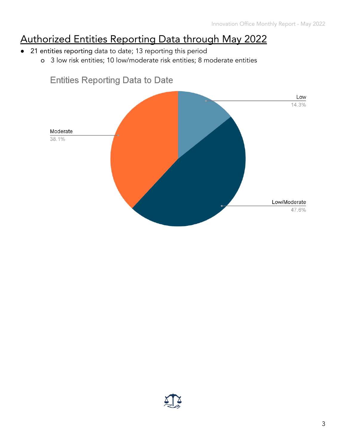# Authorized Entities Reporting Data through May 2022

- 21 entities reporting data to date; 13 reporting this period
	- o 3 low risk entities; 10 low/moderate risk entities; 8 moderate entities



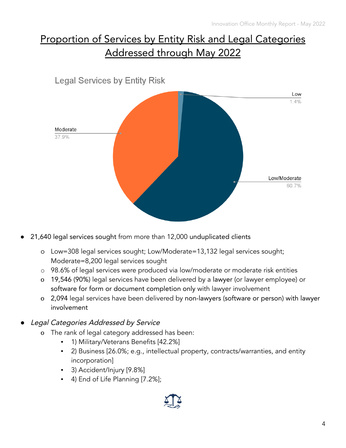# Proportion of Services by Entity Risk and Legal Categories Addressed through May 2022



21,640 legal services sought from more than 12,000 unduplicated clients

- o Low=308 legal services sought; Low/Moderate=13,132 legal services sought; Moderate=8,200 legal services sought
- o 98.6% of legal services were produced via low/moderate or moderate risk entities
- o 19,546 (90%) legal services have been delivered by a lawyer (or lawyer employee) or software for form or document completion only with lawyer involvement
- o 2,094 legal services have been delivered by non-lawyers (software or person) with lawyer involvement
- Legal Categories Addressed by Service
	- o The rank of legal category addressed has been:
		- 1) Military/Veterans Benefits [42.2%]
		- 2) Business [26.0%; e.g., intellectual property, contracts/warranties, and entity incorporation]
		- 3) Accident/Injury [9.8%]
		- 4) End of Life Planning [7.2%];

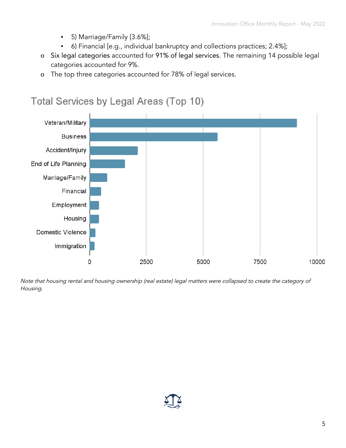- 5) Marriage/Family [3.6%];
- 6) Financial [e.g., individual bankruptcy and collections practices; 2.4%];
- o Six legal categories accounted for 91% of legal services. The remaining 14 possible legal categories accounted for 9%.
- o The top three categories accounted for 78% of legal services.



Note that housing rental and housing ownership (real estate) legal matters were collapsed to create the category of Housing.

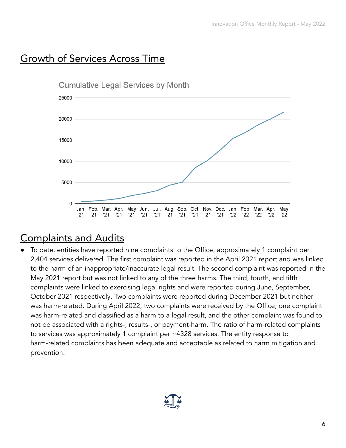#### Growth of Services Across Time



#### Complaints and Audits

To date, entities have reported nine complaints to the Office, approximately 1 complaint per 2,404 services delivered. The first complaint was reported in the April 2021 report and was linked to the harm of an inappropriate/inaccurate legal result. The second complaint was reported in the May 2021 report but was not linked to any of the three harms. The third, fourth, and fifth complaints were linked to exercising legal rights and were reported during June, September, October 2021 respectively. Two complaints were reported during December 2021 but neither was harm-related. During April 2022, two complaints were received by the Office; one complaint was harm-related and classified as a harm to a legal result, and the other complaint was found to not be associated with a rights-, results-, or payment-harm. The ratio of harm-related complaints to services was approximately 1 complaint per ~4328 services. The entity response to harm-related complaints has been adequate and acceptable as related to harm mitigation and prevention.

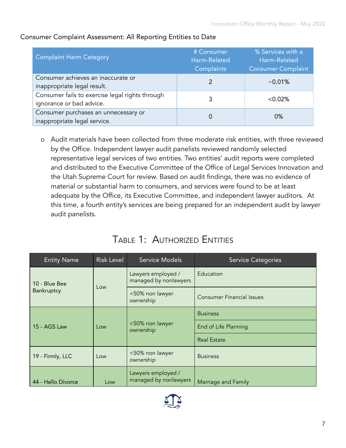| <b>Complaint Harm Category</b>                                              | # Consumer<br>Harm-Related<br>Complaints | % Services with a<br>Harm-Related<br><b>Consumer Complaint</b> |
|-----------------------------------------------------------------------------|------------------------------------------|----------------------------------------------------------------|
| Consumer achieves an inaccurate or<br>inappropriate legal result.           |                                          | $~10.01\%$                                                     |
| Consumer fails to exercise legal rights through<br>ignorance or bad advice. |                                          | $< 0.02\%$                                                     |
| Consumer purchases an unnecessary or<br>inappropriate legal service.        |                                          | $0\%$                                                          |

#### Consumer Complaint Assessment: All Reporting Entities to Date

o Audit materials have been collected from three moderate risk entities, with three reviewed by the Office. Independent lawyer audit panelists reviewed randomly selected representative legal services of two entities. Two entities' audit reports were completed and distributed to the Executive Committee of the Office of Legal Services Innovation and the Utah Supreme Court for review. Based on audit findings, there was no evidence of material or substantial harm to consumers, and services were found to be at least adequate by the Office, its Executive Committee, and independent lawyer auditors. At this time, a fourth entity's services are being prepared for an independent audit by lawyer audit panelists.

#### TABLE 1: AUTHORIZED ENTITIES

<span id="page-8-0"></span>

| <b>Entity Name</b>  | <b>Risk Level</b> | <b>Service Models</b>                       | <b>Service Categories</b>        |
|---------------------|-------------------|---------------------------------------------|----------------------------------|
| 10 - Blue Bee       |                   | Lawyers employed /<br>managed by nonlawyers | Education                        |
| Bankruptcy          | Low               | <50% non lawyer<br>ownership                | <b>Consumer Financial Issues</b> |
|                     |                   | <b>Business</b>                             |                                  |
| 15 - AGS Law<br>Low |                   | <50% non lawyer<br>ownership                | End of Life Planning             |
|                     |                   |                                             | <b>Real Estate</b>               |
| 19 - Firmly, LLC    | Low               | <50% non lawyer<br>ownership                | <b>Business</b>                  |
| 44 - Hello Divorce  | Low               | Lawyers employed /<br>managed by nonlawyers | Marriage and Family              |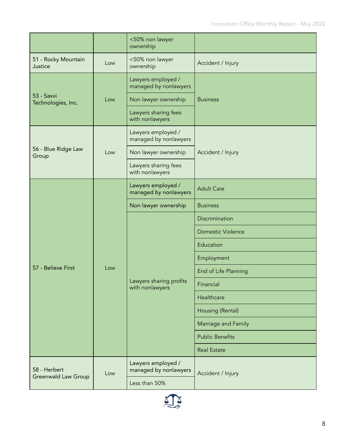|                                  |     | <50% non lawyer<br>ownership                |                          |
|----------------------------------|-----|---------------------------------------------|--------------------------|
| 51 - Rocky Mountain<br>Justice   | Low | <50% non lawyer<br>ownership                | Accident / Injury        |
|                                  |     | Lawyers employed /<br>managed by nonlawyers |                          |
| 53 - Savvi<br>Technologies, Inc. | Low | Non lawyer ownership                        | <b>Business</b>          |
|                                  |     | Lawyers sharing fees<br>with nonlawyers     |                          |
|                                  |     | Lawyers employed /<br>managed by nonlawyers |                          |
| 56 - Blue Ridge Law<br>Group     | Low | Non lawyer ownership                        | Accident / Injury        |
|                                  |     | Lawyers sharing fees<br>with nonlawyers     |                          |
|                                  |     | Lawyers employed /<br>managed by nonlawyers | <b>Adult Care</b>        |
|                                  |     | Non lawyer ownership                        | <b>Business</b>          |
|                                  |     |                                             | Discrimination           |
|                                  |     |                                             | <b>Domestic Violence</b> |
|                                  |     |                                             | Education                |
|                                  |     |                                             | Employment               |
| 57 - Believe First               | Low |                                             | End of Life Planning     |
|                                  |     | Lawyers sharing profits<br>with nonlawyers  | Financial                |
|                                  |     |                                             | Healthcare               |
|                                  |     |                                             | Housing (Rental)         |
|                                  |     |                                             | Marriage and Family      |
|                                  |     |                                             | <b>Public Benefits</b>   |
|                                  |     |                                             | <b>Real Estate</b>       |
| 58 - Herbert                     | Low | Lawyers employed /<br>managed by nonlawyers | Accident / Injury        |
| <b>Greenwald Law Group</b>       |     | Less than 50%                               |                          |

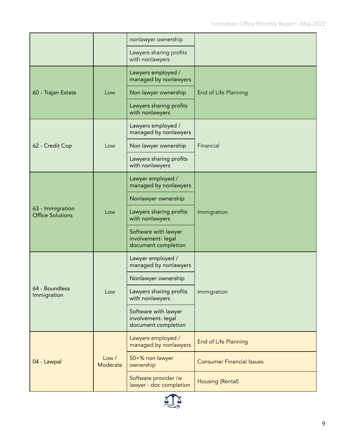|                                             |                   | nonlawyer ownership                                               |                                  |
|---------------------------------------------|-------------------|-------------------------------------------------------------------|----------------------------------|
|                                             |                   | Lawyers sharing profits<br>with nonlawyers                        |                                  |
|                                             |                   | Lawyers employed /<br>managed by nonlawyers                       |                                  |
| 60 - Trajan Estate                          | Low               | Non lawyer ownership                                              | End of Life Planning             |
|                                             |                   | Lawyers sharing profits<br>with nonlawyers                        |                                  |
|                                             |                   | Lawyers employed /<br>managed by nonlawyers                       |                                  |
| 62 - Credit Cop                             | Low               | Non lawyer ownership                                              | Financial                        |
|                                             |                   | Lawyers sharing profits<br>with nonlawyers                        |                                  |
|                                             |                   | Lawyer employed /<br>managed by nonlawyers                        |                                  |
|                                             | Low               | Nonlawyer ownership                                               |                                  |
| 63 - Immigration<br><b>Office Solutions</b> |                   | Lawyers sharing profits<br>with nonlawyers                        | Immigration                      |
|                                             |                   | Software with lawyer<br>involvement- legal<br>document completion |                                  |
|                                             |                   | Lawyer employed /<br>managed by nonlawyers                        |                                  |
|                                             |                   | Nonlawyer ownership                                               |                                  |
| 64 - Boundless<br>Immigration               | Low               | Lawyers sharing profits<br>with nonlawyers                        | Immigration                      |
|                                             |                   | Software with lawyer<br>involvement- legal<br>document completion |                                  |
|                                             |                   | Lawyers employed /<br>managed by nonlawyers                       | End of Life Planning             |
| 04 - Lawpal                                 | Low /<br>Moderate | 50+% non lawyer<br>ownership                                      | <b>Consumer Financial Issues</b> |
|                                             |                   | Software provider /w<br>lawyer - doc completion                   | Housing (Rental)                 |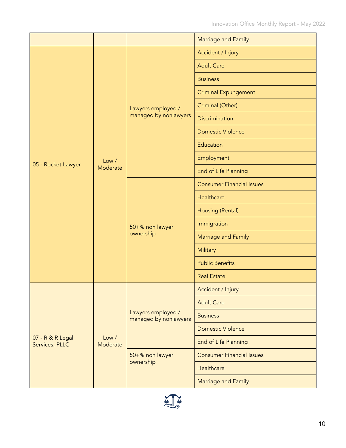|                                    |                   |                                             | Marriage and Family              |
|------------------------------------|-------------------|---------------------------------------------|----------------------------------|
|                                    |                   |                                             | Accident / Injury                |
|                                    |                   |                                             | <b>Adult Care</b>                |
|                                    |                   |                                             | <b>Business</b>                  |
|                                    |                   |                                             | <b>Criminal Expungement</b>      |
|                                    |                   | Lawyers employed /                          | Criminal (Other)                 |
|                                    |                   | managed by nonlawyers                       | Discrimination                   |
|                                    |                   |                                             | <b>Domestic Violence</b>         |
|                                    |                   |                                             | Education                        |
|                                    | Low /             |                                             | Employment                       |
| 05 - Rocket Lawyer                 | Moderate          |                                             | End of Life Planning             |
|                                    |                   |                                             | <b>Consumer Financial Issues</b> |
|                                    |                   | 50+% non lawyer<br>ownership                | Healthcare                       |
|                                    |                   |                                             | Housing (Rental)                 |
|                                    |                   |                                             | Immigration                      |
|                                    |                   |                                             | Marriage and Family              |
|                                    |                   |                                             | Military                         |
|                                    |                   |                                             | <b>Public Benefits</b>           |
|                                    |                   |                                             | <b>Real Estate</b>               |
|                                    |                   |                                             | Accident / Injury                |
|                                    |                   |                                             | <b>Adult Care</b>                |
| 07 - R & R Legal<br>Services, PLLC |                   | Lawyers employed /<br>managed by nonlawyers | <b>Business</b>                  |
|                                    |                   |                                             | <b>Domestic Violence</b>         |
|                                    | Low /<br>Moderate |                                             | End of Life Planning             |
|                                    |                   | 50+% non lawyer                             | <b>Consumer Financial Issues</b> |
|                                    |                   | ownership                                   | Healthcare                       |
|                                    |                   |                                             | Marriage and Family              |

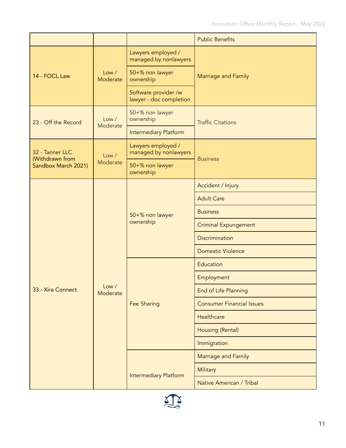|                                                    |                   |                                                 | <b>Public Benefits</b>           |
|----------------------------------------------------|-------------------|-------------------------------------------------|----------------------------------|
|                                                    |                   | Lawyers employed /<br>managed by nonlawyers     |                                  |
| 14 - FOCL Law                                      | Low /<br>Moderate | 50+% non lawyer<br>ownership                    | Marriage and Family              |
|                                                    |                   | Software provider /w<br>lawyer - doc completion |                                  |
| 23 - Off the Record                                | Low /             | 50+% non lawyer<br>ownership                    | <b>Traffic Citations</b>         |
|                                                    | Moderate          | <b>Intermediary Platform</b>                    |                                  |
| 32 - Tanner LLC                                    | Low /             | Lawyers employed /<br>managed by nonlawyers     |                                  |
| (Withdrawn from<br>Moderate<br>Sandbox March 2021) |                   | 50+% non lawyer<br>ownership                    | <b>Business</b>                  |
|                                                    |                   | 50+% non lawyer<br>ownership                    | Accident / Injury                |
|                                                    |                   |                                                 | <b>Adult Care</b>                |
|                                                    |                   |                                                 | <b>Business</b>                  |
|                                                    |                   |                                                 | <b>Criminal Expungement</b>      |
|                                                    |                   |                                                 | <b>Discrimination</b>            |
|                                                    |                   |                                                 | <b>Domestic Violence</b>         |
|                                                    |                   |                                                 | Education                        |
|                                                    |                   |                                                 | Employment                       |
| 33 - Xira Connect                                  | Low /<br>Moderate |                                                 | End of Life Planning             |
|                                                    |                   | <b>Fee Sharing</b>                              | <b>Consumer Financial Issues</b> |
|                                                    |                   |                                                 | Healthcare                       |
|                                                    |                   |                                                 | Housing (Rental)                 |
|                                                    |                   |                                                 | Immigration                      |
|                                                    |                   |                                                 | Marriage and Family              |
|                                                    |                   | <b>Intermediary Platform</b>                    | Military                         |
|                                                    |                   |                                                 | Native American / Tribal         |

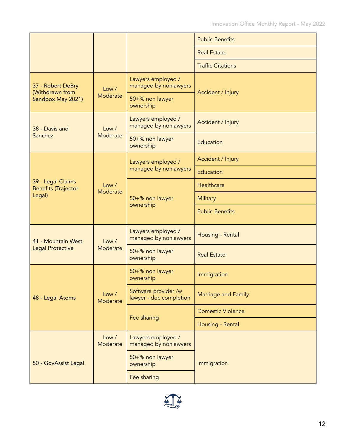|                                                 |                   |                                                 | <b>Public Benefits</b>   |
|-------------------------------------------------|-------------------|-------------------------------------------------|--------------------------|
|                                                 |                   |                                                 | <b>Real Estate</b>       |
|                                                 |                   |                                                 | <b>Traffic Citations</b> |
| 37 - Robert DeBry<br>(Withdrawn from            | Low /             | Lawyers employed /<br>managed by nonlawyers     |                          |
| Sandbox May 2021)                               | Moderate          | 50+% non lawyer<br>ownership                    | Accident / Injury        |
| 38 - Davis and                                  | Low /             | Lawyers employed /<br>managed by nonlawyers     | Accident / Injury        |
| Sanchez                                         | Moderate          | 50+% non lawyer<br>ownership                    | Education                |
|                                                 |                   | Lawyers employed /                              | Accident / Injury        |
|                                                 |                   | managed by nonlawyers                           | Education                |
| 39 - Legal Claims<br><b>Benefits (Trajector</b> | Low /<br>Moderate |                                                 | Healthcare               |
| Legal)                                          |                   | 50+% non lawyer<br>ownership                    | Military                 |
|                                                 |                   |                                                 | <b>Public Benefits</b>   |
| 41 - Mountain West                              | Low /             | Lawyers employed /<br>managed by nonlawyers     | Housing - Rental         |
| <b>Legal Protective</b>                         | Moderate          | 50+% non lawyer<br>ownership                    | <b>Real Estate</b>       |
|                                                 |                   | 50+% non lawyer<br>ownership                    | Immigration              |
| 48 - Legal Atoms                                | Low /<br>Moderate | Software provider /w<br>lawyer - doc completion | Marriage and Family      |
|                                                 |                   |                                                 | <b>Domestic Violence</b> |
|                                                 |                   | Fee sharing                                     | Housing - Rental         |
|                                                 | Low /<br>Moderate | Lawyers employed /<br>managed by nonlawyers     |                          |
| 50 - GovAssist Legal                            |                   | 50+% non lawyer<br>ownership                    | Immigration              |
|                                                 |                   | Fee sharing                                     |                          |
|                                                 |                   |                                                 |                          |

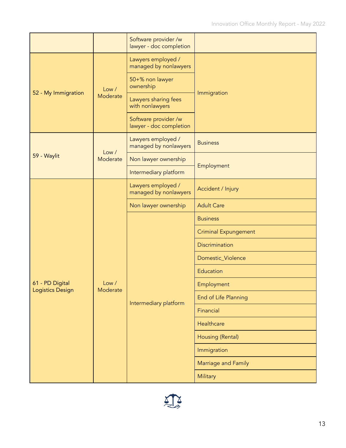|                                            |                   | Software provider /w<br>lawyer - doc completion |                             |
|--------------------------------------------|-------------------|-------------------------------------------------|-----------------------------|
|                                            |                   | Lawyers employed /<br>managed by nonlawyers     |                             |
|                                            | Low /             | 50+% non lawyer<br>ownership                    | Immigration                 |
| 52 - My Immigration                        | Moderate          | Lawyers sharing fees<br>with nonlawyers         |                             |
|                                            |                   | Software provider /w<br>lawyer - doc completion |                             |
|                                            |                   | Lawyers employed /<br>managed by nonlawyers     | <b>Business</b>             |
| 59 - Waylit                                | Low /<br>Moderate | Non lawyer ownership                            |                             |
|                                            |                   | Intermediary platform                           | Employment                  |
|                                            |                   | Lawyers employed /<br>managed by nonlawyers     | Accident / Injury           |
|                                            |                   | Non lawyer ownership                            | <b>Adult Care</b>           |
|                                            |                   |                                                 | <b>Business</b>             |
|                                            |                   |                                                 | <b>Criminal Expungement</b> |
|                                            |                   |                                                 | Discrimination              |
|                                            |                   |                                                 | Domestic_Violence           |
|                                            |                   |                                                 | Education                   |
| 61 - PD Digital<br><b>Logistics Design</b> | Low /<br>Moderate |                                                 | Employment                  |
|                                            |                   | Intermediary platform                           | End of Life Planning        |
|                                            |                   |                                                 | Financial                   |
|                                            |                   |                                                 | Healthcare                  |
|                                            |                   |                                                 | Housing (Rental)            |
|                                            |                   |                                                 | Immigration                 |
|                                            |                   |                                                 | Marriage and Family         |
|                                            |                   |                                                 | Military                    |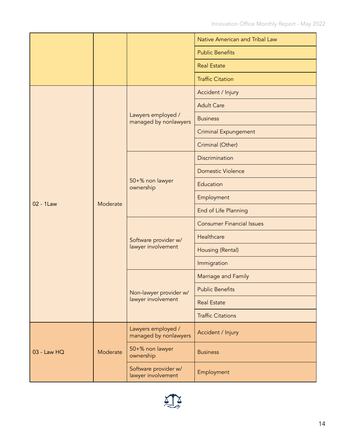|             |          |                                             | Native American and Tribal Law   |  |
|-------------|----------|---------------------------------------------|----------------------------------|--|
|             |          |                                             | <b>Public Benefits</b>           |  |
|             |          |                                             | <b>Real Estate</b>               |  |
|             |          |                                             | <b>Traffic Citation</b>          |  |
|             |          |                                             | Accident / Injury                |  |
|             |          |                                             | <b>Adult Care</b>                |  |
|             |          | Lawyers employed /<br>managed by nonlawyers | <b>Business</b>                  |  |
|             |          |                                             | <b>Criminal Expungement</b>      |  |
|             |          |                                             | Criminal (Other)                 |  |
|             |          |                                             | Discrimination                   |  |
|             |          |                                             | <b>Domestic Violence</b>         |  |
|             |          | 50+% non lawyer<br>ownership                | Education                        |  |
| 02 - 1Law   | Moderate |                                             | Employment                       |  |
|             |          |                                             | End of Life Planning             |  |
|             |          | Software provider w/<br>lawyer involvement  | <b>Consumer Financial Issues</b> |  |
|             |          |                                             | Healthcare                       |  |
|             |          |                                             | Housing (Rental)                 |  |
|             |          |                                             | Immigration                      |  |
|             |          | Non-lawyer provider w/                      | Marriage and Family              |  |
|             |          |                                             | <b>Public Benefits</b>           |  |
|             |          | lawyer involvement                          | <b>Real Estate</b>               |  |
|             |          |                                             | <b>Traffic Citations</b>         |  |
| 03 - Law HQ | Moderate | Lawyers employed /<br>managed by nonlawyers | Accident / Injury                |  |
|             |          | 50+% non lawyer<br>ownership                | <b>Business</b>                  |  |
|             |          |                                             |                                  |  |

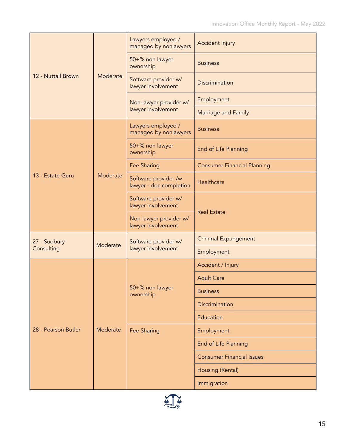|                     |          | Lawyers employed /<br>managed by nonlawyers     | Accident Injury                    |
|---------------------|----------|-------------------------------------------------|------------------------------------|
|                     |          | 50+% non lawyer<br>ownership                    | <b>Business</b>                    |
| 12 - Nuttall Brown  | Moderate | Software provider w/<br>lawyer involvement      | Discrimination                     |
|                     |          | Non-lawyer provider w/                          | Employment                         |
|                     |          | lawyer involvement                              | Marriage and Family                |
|                     |          | Lawyers employed /<br>managed by nonlawyers     | <b>Business</b>                    |
|                     |          | 50+% non lawyer<br>ownership                    | End of Life Planning               |
|                     |          | Fee Sharing                                     | <b>Consumer Financial Planning</b> |
| 13 - Estate Guru    | Moderate | Software provider /w<br>lawyer - doc completion | Healthcare                         |
|                     |          | Software provider w/<br>lawyer involvement      |                                    |
|                     |          | Non-lawyer provider w/<br>lawyer involvement    | <b>Real Estate</b>                 |
| 27 - Sudbury        | Moderate | Software provider w/                            | <b>Criminal Expungement</b>        |
| Consulting          |          | lawyer involvement                              | Employment                         |
|                     |          |                                                 | Accident / Injury                  |
|                     |          |                                                 | <b>Adult Care</b>                  |
|                     |          | 50+% non lawyer<br>ownership                    | <b>Business</b>                    |
|                     |          |                                                 | Discrimination                     |
| 28 - Pearson Butler |          |                                                 | Education                          |
|                     | Moderate | Fee Sharing                                     | Employment                         |
|                     |          |                                                 | End of Life Planning               |
|                     |          |                                                 | <b>Consumer Financial Issues</b>   |
|                     |          |                                                 |                                    |
|                     |          |                                                 | Housing (Rental)                   |

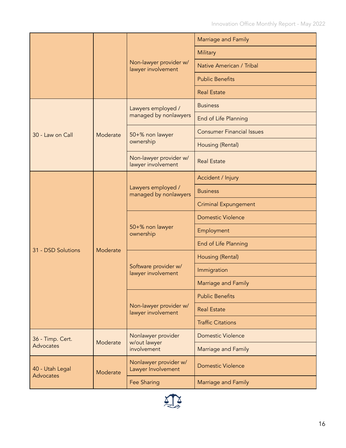|                                      |          |                                              | Marriage and Family              |
|--------------------------------------|----------|----------------------------------------------|----------------------------------|
|                                      |          |                                              | Military                         |
|                                      |          | Non-lawyer provider w/<br>lawyer involvement | Native American / Tribal         |
|                                      |          |                                              | <b>Public Benefits</b>           |
|                                      |          |                                              | <b>Real Estate</b>               |
| 30 - Law on Call                     | Moderate | Lawyers employed /                           | <b>Business</b>                  |
|                                      |          | managed by nonlawyers                        | End of Life Planning             |
|                                      |          | 50+% non lawyer                              | <b>Consumer Financial Issues</b> |
|                                      |          | ownership                                    | Housing (Rental)                 |
|                                      |          | Non-lawyer provider w/<br>lawyer involvement | <b>Real Estate</b>               |
|                                      | Moderate | Lawyers employed /<br>managed by nonlawyers  | Accident / Injury                |
|                                      |          |                                              | <b>Business</b>                  |
|                                      |          |                                              | <b>Criminal Expungement</b>      |
|                                      |          | 50+% non lawyer<br>ownership                 | <b>Domestic Violence</b>         |
|                                      |          |                                              | Employment                       |
|                                      |          |                                              | End of Life Planning             |
| 31 - DSD Solutions                   |          | Software provider w/<br>lawyer involvement   | Housing (Rental)                 |
|                                      |          |                                              | Immigration                      |
|                                      |          |                                              | Marriage and Family              |
|                                      |          | Non-lawyer provider w/<br>lawyer involvement | <b>Public Benefits</b>           |
|                                      |          |                                              | <b>Real Estate</b>               |
|                                      |          |                                              | <b>Traffic Citations</b>         |
| 36 - Timp. Cert.<br><b>Advocates</b> | Moderate | Nonlawyer provider                           | <b>Domestic Violence</b>         |
|                                      |          | w/out lawyer<br>involvement                  | Marriage and Family              |
| 40 - Utah Legal<br>Advocates         | Moderate | Nonlawyer provider w/<br>Lawyer Involvement  | <b>Domestic Violence</b>         |
|                                      |          | Fee Sharing                                  | Marriage and Family              |

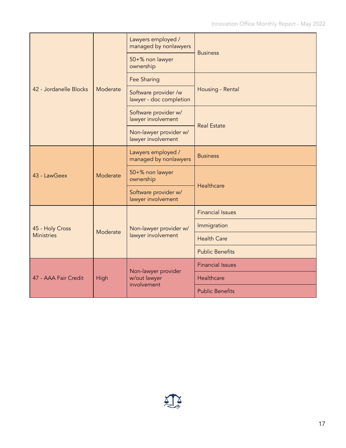| 42 - Jordanelle Blocks               | Moderate | Lawyers employed /<br>managed by nonlawyers     |                         |  |
|--------------------------------------|----------|-------------------------------------------------|-------------------------|--|
|                                      |          | 50+% non lawyer<br>ownership                    | <b>Business</b>         |  |
|                                      |          | Fee Sharing                                     | Housing - Rental        |  |
|                                      |          | Software provider /w<br>lawyer - doc completion |                         |  |
|                                      |          | Software provider w/<br>lawyer involvement      | <b>Real Estate</b>      |  |
|                                      |          | Non-lawyer provider w/<br>lawyer involvement    |                         |  |
| $43 - 1$ awGeex                      | Moderate | Lawyers employed /<br>managed by nonlawyers     | <b>Business</b>         |  |
|                                      |          | 50+% non lawyer<br>ownership                    | Healthcare              |  |
|                                      |          | Software provider w/<br>lawyer involvement      |                         |  |
| 45 - Holy Cross<br><b>Ministries</b> | Moderate |                                                 | <b>Financial Issues</b> |  |
|                                      |          | Non-lawyer provider w/<br>lawyer involvement    | Immigration             |  |
|                                      |          |                                                 | <b>Health Care</b>      |  |
|                                      |          |                                                 | <b>Public Benefits</b>  |  |
| 47 - AAA Fair Credit                 | High     | Non-lawyer provider                             | <b>Financial Issues</b> |  |
|                                      |          | w/out lawyer<br>involvement                     | Healthcare              |  |
|                                      |          |                                                 | <b>Public Benefits</b>  |  |

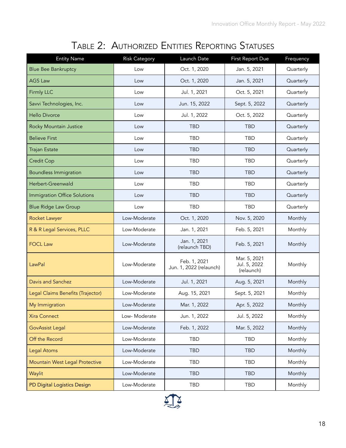# TABLE 2: AUTHORIZED ENTITIES REPORTING STATUSES

<span id="page-19-0"></span>

| <b>Entity Name</b>                  | <b>Risk Category</b> | Launch Date                             | First Report Due                           | Frequency |
|-------------------------------------|----------------------|-----------------------------------------|--------------------------------------------|-----------|
| <b>Blue Bee Bankruptcy</b>          | Low                  | Oct. 1, 2020                            | Jan. 5, 2021                               | Quarterly |
| <b>AGS Law</b>                      | Low                  | Oct. 1, 2020                            | Jan. 5, 2021                               | Quarterly |
| <b>Firmly LLC</b>                   | Low                  | Jul. 1, 2021                            | Oct. 5, 2021                               | Quarterly |
| Savvi Technologies, Inc.            | Low                  | Jun. 15, 2022                           | Sept. 5, 2022                              | Quarterly |
| <b>Hello Divorce</b>                | Low                  | Jul. 1, 2022                            | Oct. 5, 2022                               | Quarterly |
| Rocky Mountain Justice              | Low                  | <b>TBD</b>                              | <b>TBD</b>                                 | Quarterly |
| <b>Believe First</b>                | Low                  | <b>TBD</b>                              | <b>TBD</b>                                 | Quarterly |
| <b>Trajan Estate</b>                | Low                  | <b>TBD</b>                              | <b>TBD</b>                                 | Quarterly |
| <b>Credit Cop</b>                   | Low                  | <b>TBD</b>                              | <b>TBD</b>                                 | Quarterly |
| <b>Boundless Immigration</b>        | Low                  | <b>TBD</b>                              | <b>TBD</b>                                 | Quarterly |
| Herbert-Greenwald                   | Low                  | <b>TBD</b>                              | <b>TBD</b>                                 | Quarterly |
| <b>Immigration Office Solutions</b> | Low                  | <b>TBD</b>                              | <b>TBD</b>                                 | Quarterly |
| <b>Blue Ridge Law Group</b>         | Low                  | <b>TBD</b>                              | <b>TBD</b>                                 | Quarterly |
| Rocket Lawyer                       | Low-Moderate         | Oct. 1, 2020                            | Nov. 5, 2020                               | Monthly   |
| R & R Legal Services, PLLC          | Low-Moderate         | Jan. 1, 2021                            | Feb. 5, 2021                               | Monthly   |
| <b>FOCL Law</b>                     | Low-Moderate         | Jan. 1, 2021<br>(relaunch TBD)          | Feb. 5, 2021                               | Monthly   |
| LawPal                              | Low-Moderate         | Feb. 1, 2021<br>Jun. 1, 2022 (relaunch) | Mar. 5, 2021<br>Jul. 5, 2022<br>(relaunch) | Monthly   |
| Davis and Sanchez                   | Low-Moderate         | Jul. 1, 2021                            | Aug. 5, 2021                               | Monthly   |
| Legal Claims Benefits (Trajector)   | Low-Moderate         | Aug. 15, 2021                           | Sept. 5, 2021                              | Monthly   |
| My Immigration                      | Low-Moderate         | Mar. 1, 2022                            | Apr. 5, 2022                               | Monthly   |
| <b>Xira Connect</b>                 | Low- Moderate        | Jun. 1, 2022                            | Jul. 5, 2022                               | Monthly   |
| <b>GovAssist Legal</b>              | Low-Moderate         | Feb. 1, 2022                            | Mar. 5, 2022                               | Monthly   |
| Off the Record                      | Low-Moderate         | TBD                                     | <b>TBD</b>                                 | Monthly   |
| <b>Legal Atoms</b>                  | Low-Moderate         | <b>TBD</b>                              | <b>TBD</b>                                 | Monthly   |
| Mountain West Legal Protective      | Low-Moderate         | <b>TBD</b>                              | TBD                                        | Monthly   |
| Waylit                              | Low-Moderate         | <b>TBD</b>                              | <b>TBD</b>                                 | Monthly   |
| PD Digital Logistics Design         | Low-Moderate         | TBD                                     | TBD                                        | Monthly   |

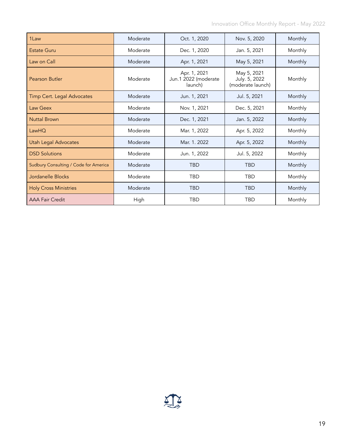| 1 Law                                 | Moderate | Oct. 1, 2020                                    | Nov. 5, 2020                                      | Monthly |
|---------------------------------------|----------|-------------------------------------------------|---------------------------------------------------|---------|
| <b>Estate Guru</b>                    | Moderate | Dec. 1, 2020                                    | Jan. 5, 2021                                      | Monthly |
| Law on Call                           | Moderate | Apr. 1, 2021                                    | May 5, 2021                                       | Monthly |
| Pearson Butler                        | Moderate | Apr. 1, 2021<br>Jun.1 2022 (moderate<br>launch) | May 5, 2021<br>July. 5, 2022<br>(moderate launch) | Monthly |
| Timp Cert. Legal Advocates            | Moderate | Jun. 1, 2021                                    | Jul. 5, 2021                                      | Monthly |
| Law Geex                              | Moderate | Nov. 1, 2021                                    | Dec. 5, 2021                                      | Monthly |
| <b>Nuttal Brown</b>                   | Moderate | Dec. 1, 2021                                    | Jan. 5, 2022                                      | Monthly |
| LawHQ                                 | Moderate | Mar. 1, 2022                                    | Apr. 5, 2022                                      | Monthly |
| <b>Utah Legal Advocates</b>           | Moderate | Mar. 1. 2022                                    | Apr. 5, 2022                                      | Monthly |
| <b>DSD Solutions</b>                  | Moderate | Jun. 1, 2022                                    | Jul. 5, 2022                                      | Monthly |
| Sudbury Consulting / Code for America | Moderate | <b>TBD</b>                                      | <b>TBD</b>                                        | Monthly |
| Jordanelle Blocks                     | Moderate | <b>TBD</b>                                      | <b>TBD</b>                                        | Monthly |
| <b>Holy Cross Ministries</b>          | Moderate | <b>TBD</b>                                      | <b>TBD</b>                                        | Monthly |
| <b>AAA Fair Credit</b>                | High     | <b>TBD</b>                                      | <b>TBD</b>                                        | Monthly |